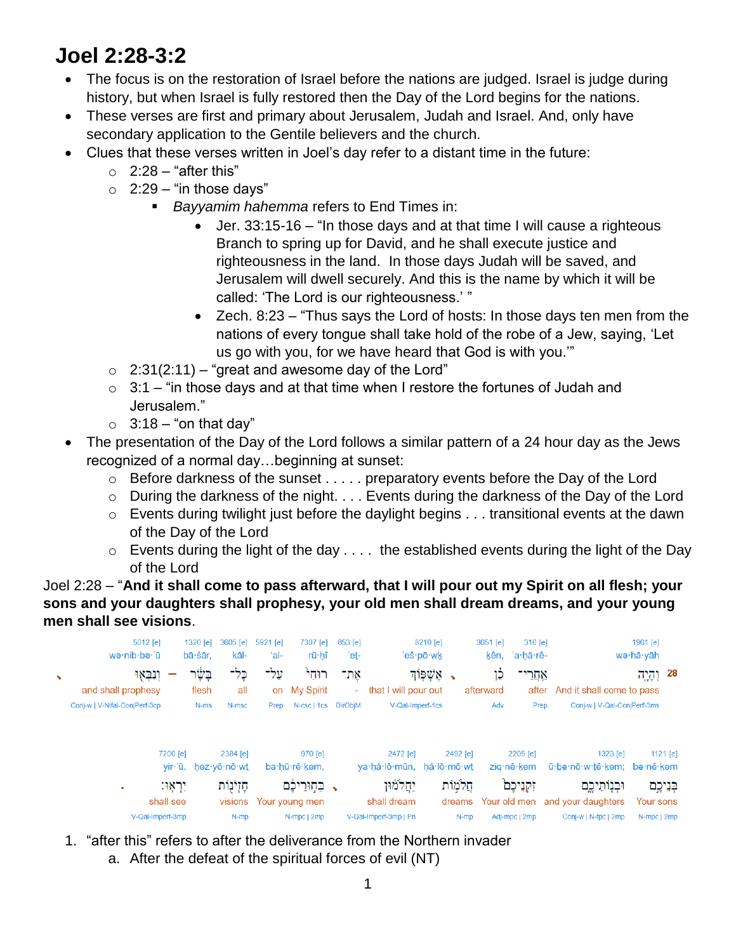# **Joel 2:28-3:2**

- The focus is on the restoration of Israel before the nations are judged. Israel is judge during history, but when Israel is fully restored then the Day of the Lord begins for the nations.
- These verses are first and primary about Jerusalem, Judah and Israel. And, only have secondary application to the Gentile believers and the church.
- Clues that these verses written in Joel's day refer to a distant time in the future:
	- $\circ$  2:28 "after this"
	- $\circ$  2:29 "in those days"
		- *Bayyamim hahemma* refers to End Times in:
			- Jer. 33:15-16 "In those days and at that time I will cause a righteous Branch to spring up for David, and he shall execute justice and righteousness in the land. In those days Judah will be saved, and Jerusalem will dwell securely. And this is the name by which it will be called: 'The Lord is our righteousness.' "
			- Zech. 8:23 "Thus says the Lord of hosts: In those days ten men from the nations of every tongue shall take hold of the robe of a Jew, saying, 'Let us go with you, for we have heard that God is with you.'"
	- $\circ$  2:31(2:11) "great and awesome day of the Lord"
	- $\circ$  3:1 "in those days and at that time when I restore the fortunes of Judah and Jerusalem."
	- $\circ$  3:18 "on that day"
- The presentation of the Day of the Lord follows a similar pattern of a 24 hour day as the Jews recognized of a normal day…beginning at sunset:
	- $\circ$  Before darkness of the sunset  $\dots$ . preparatory events before the Day of the Lord
	- o During the darkness of the night. . . . Events during the darkness of the Day of the Lord
	- o Events during twilight just before the daylight begins . . . transitional events at the dawn of the Day of the Lord
	- $\circ$  Events during the light of the day  $\dots$  the established events during the light of the Day of the Lord

Joel 2:28 – "**And it shall come to pass afterward, that I will pour out my Spirit on all flesh; your sons and your daughters shall prophesy, your old men shall dream dreams, and your young men shall see visions**.



- 1. "after this" refers to after the deliverance from the Northern invader
	- a. After the defeat of the spiritual forces of evil (NT)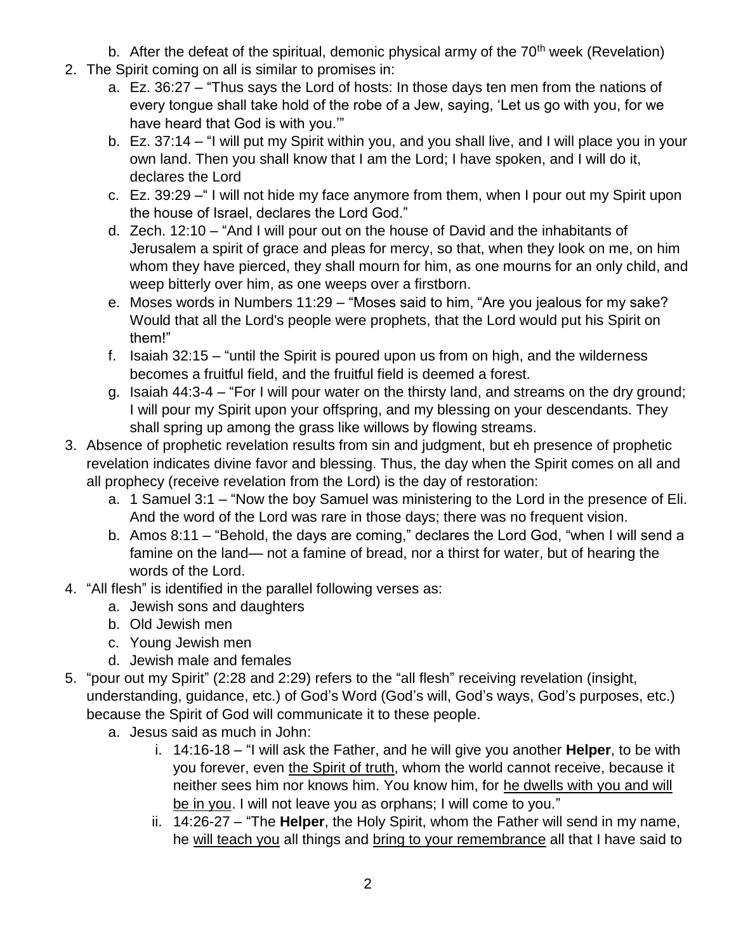- b. After the defeat of the spiritual, demonic physical army of the  $70<sup>th</sup>$  week (Revelation)
- 2. The Spirit coming on all is similar to promises in:
	- a. Ez. 36:27 "Thus says the Lord of hosts: In those days ten men from the nations of every tongue shall take hold of the robe of a Jew, saying, 'Let us go with you, for we have heard that God is with you.'"
	- b. Ez. 37:14 "I will put my Spirit within you, and you shall live, and I will place you in your own land. Then you shall know that I am the Lord; I have spoken, and I will do it, declares the Lord
	- c. Ez. 39:29 –" I will not hide my face anymore from them, when I pour out my Spirit upon the house of Israel, declares the Lord God."
	- d. Zech. 12:10 "And I will pour out on the house of David and the inhabitants of Jerusalem a spirit of grace and pleas for mercy, so that, when they look on me, on him whom they have pierced, they shall mourn for him, as one mourns for an only child, and weep bitterly over him, as one weeps over a firstborn.
	- e. Moses words in Numbers 11:29 "Moses said to him, "Are you jealous for my sake? Would that all the Lord's people were prophets, that the Lord would put his Spirit on them!"
	- f. Isaiah 32:15 "until the Spirit is poured upon us from on high, and the wilderness becomes a fruitful field, and the fruitful field is deemed a forest.
	- g. Isaiah 44:3-4 "For I will pour water on the thirsty land, and streams on the dry ground; I will pour my Spirit upon your offspring, and my blessing on your descendants. They shall spring up among the grass like willows by flowing streams.
- 3. Absence of prophetic revelation results from sin and judgment, but eh presence of prophetic revelation indicates divine favor and blessing. Thus, the day when the Spirit comes on all and all prophecy (receive revelation from the Lord) is the day of restoration:
	- a. 1 Samuel 3:1 "Now the boy Samuel was ministering to the Lord in the presence of Eli. And the word of the Lord was rare in those days; there was no frequent vision.
	- b. Amos 8:11 "Behold, the days are coming," declares the Lord God, "when I will send a famine on the land— not a famine of bread, nor a thirst for water, but of hearing the words of the Lord.
- 4. "All flesh" is identified in the parallel following verses as:
	- a. Jewish sons and daughters
	- b. Old Jewish men
	- c. Young Jewish men
	- d. Jewish male and females
- 5. "pour out my Spirit" (2:28 and 2:29) refers to the "all flesh" receiving revelation (insight, understanding, guidance, etc.) of God's Word (God's will, God's ways, God's purposes, etc.) because the Spirit of God will communicate it to these people.
	- a. Jesus said as much in John:
		- i. 14:16-18 "I will ask the Father, and he will give you another **Helper**, to be with you forever, even the Spirit of truth, whom the world cannot receive, because it neither sees him nor knows him. You know him, for he dwells with you and will be in you. I will not leave you as orphans; I will come to you."
		- ii. 14:26-27 "The **Helper**, the Holy Spirit, whom the Father will send in my name, he will teach you all things and bring to your remembrance all that I have said to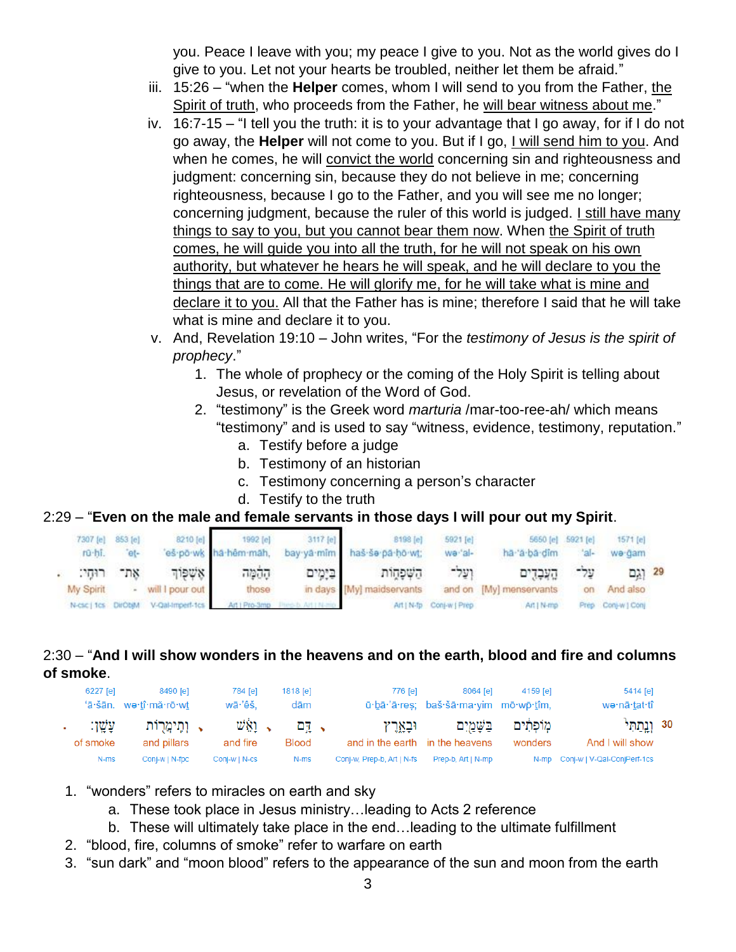you. Peace I leave with you; my peace I give to you. Not as the world gives do I give to you. Let not your hearts be troubled, neither let them be afraid."

- iii. 15:26 "when the **Helper** comes, whom I will send to you from the Father, the Spirit of truth, who proceeds from the Father, he will bear witness about me."
- iv. 16:7-15 "I tell you the truth: it is to your advantage that I go away, for if I do not go away, the **Helper** will not come to you. But if I go, I will send him to you. And when he comes, he will convict the world concerning sin and righteousness and judgment: concerning sin, because they do not believe in me; concerning righteousness, because I go to the Father, and you will see me no longer; concerning judgment, because the ruler of this world is judged. I still have many things to say to you, but you cannot bear them now. When the Spirit of truth comes, he will guide you into all the truth, for he will not speak on his own authority, but whatever he hears he will speak, and he will declare to you the things that are to come. He will glorify me, for he will take what is mine and declare it to you. All that the Father has is mine; therefore I said that he will take what is mine and declare it to you.
- v. And, Revelation 19:10 John writes, "For the *testimony of Jesus is the spirit of prophecy*."
	- 1. The whole of prophecy or the coming of the Holy Spirit is telling about Jesus, or revelation of the Word of God.
	- 2. "testimony" is the Greek word *marturia* /mar-too-ree-ah/ which means "testimony" and is used to say "witness, evidence, testimony, reputation."
		- a. Testify before a judge
		- b. Testimony of an historian
		- c. Testimony concerning a person's character
		- d. Testify to the truth

#### 2:29 – "**Even on the male and female servants in those days I will pour out my Spirit**.

|  |  |  | 7307 [e] 853 [e] 8210 [e] 1992 [e] 3117 [e] 8198 [e] 5921 [e]<br>rū-hī, "et- "eš-põ-wk hā-hêm-māh, bay-yā-mīm haš-še-pā-ḥō-wt; we-'al- | 5650 [e] 5921 [e] 1571 [e]<br>ha a ba dim lal- | we-gam             |  |
|--|--|--|----------------------------------------------------------------------------------------------------------------------------------------|------------------------------------------------|--------------------|--|
|  |  |  | 29 וְגַם עַל־ הֲעֲבָדֶים וְעַל־ הַשְׁפָּחֲוֹת בַּיָּמֶים הָהָמָּה אָשְׁפָּוֹךְ אֶת־ רוּחָי:                                            |                                                |                    |  |
|  |  |  | My Spirit - will I pour out those in days [My] maidservants and on [My] menservants on And also                                        |                                                |                    |  |
|  |  |  | N-csc   1cs DirObjM V-Qal-Imperf-1cs Art   Pro-3mp Piec-b Art   N-rio Art   M-fp Conj-w   Prep Art   N-mp                              |                                                | Prep Conj-w [ Conj |  |

#### 2:30 – "**And I will show wonders in the heavens and on the earth, blood and fire and columns of smoke**.

| 6227 [e]               | 8490 [e]<br>'ā·šān. we·tî·mă·rō·wt | 784 [e]<br>$w\bar{a}$ 'êš.   | $1818$ [e]<br>dām    | 776 [e]                    | 8064 [e]                        | 5414 [e]<br>4159 [e]<br>ū·bā·'ā·res; baš·šā·ma·yim mō·wp·tîm,<br>wə∙nā∙tat∙tî |                                           |  |
|------------------------|------------------------------------|------------------------------|----------------------|----------------------------|---------------------------------|-------------------------------------------------------------------------------|-------------------------------------------|--|
| יַנַּשֵׁן:<br>of smoke | , וְתֵימֲרָוֹת<br>and pillars      | $\psi$ in $\sim$<br>and fire | 고고 시<br><b>Blood</b> | וּבְאָרֶץ                  | and in the earth in the heavens | מֽוֹפִתִּים בַּשֲׁמֲיִם<br>wonders                                            | 30 וַ <u>נְ</u> חַתְּי<br>And I will show |  |
| N-ms                   | Conj-w   N-fpc                     | Conj-w   N-cs                | N-ms                 | Conj-w, Prep-b, Art   N-fs | Prep-b. Art   N-mp              |                                                                               | N-mp Conj-w   V-Qal-ConjPerf-1cs          |  |

- 1. "wonders" refers to miracles on earth and sky
	- a. These took place in Jesus ministry…leading to Acts 2 reference
	- b. These will ultimately take place in the end…leading to the ultimate fulfillment
- 2. "blood, fire, columns of smoke" refer to warfare on earth
- 3. "sun dark" and "moon blood" refers to the appearance of the sun and moon from the earth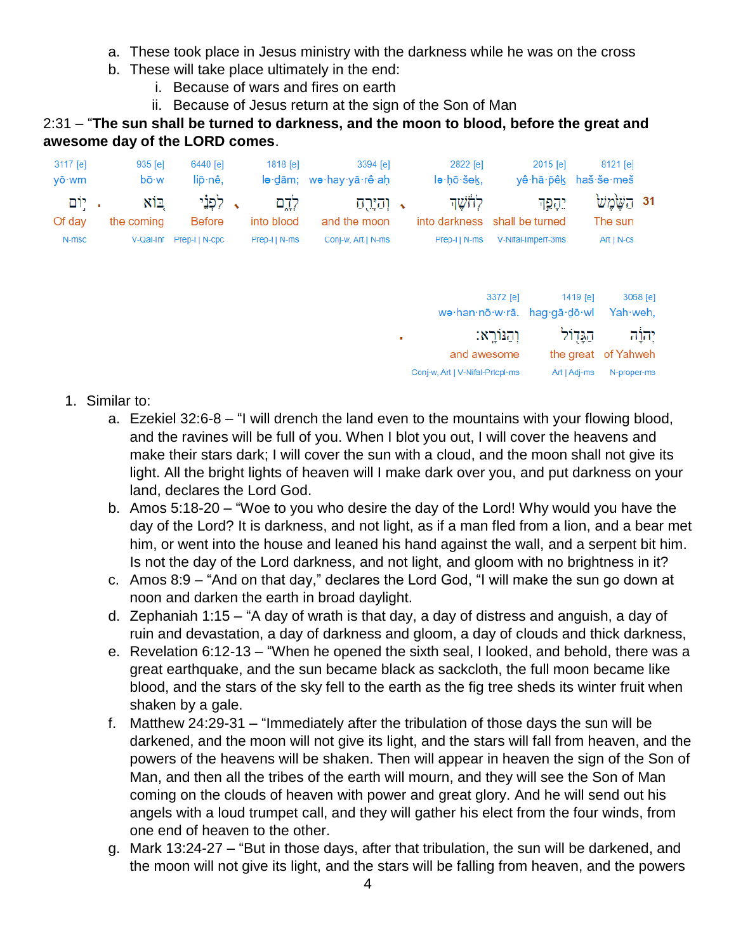- a. These took place in Jesus ministry with the darkness while he was on the cross
- b. These will take place ultimately in the end:
	- i. Because of wars and fires on earth
	- ii. Because of Jesus return at the sign of the Son of Man

2:31 – "**The sun shall be turned to darkness, and the moon to blood, before the great and awesome day of the LORD comes**.

| 3117 [e]<br>yō·wm | 935 [e]<br>bō·w   | 6440 [e]<br>lip·nê,      | 1818 [e]            | 3394 [e]<br>lə dām; wə hay yā rê ah |           | 2822 [e]<br>le hō šek,          |              | 2015 [e]<br>yê∙hā∙pêk      |              | 8121 [e]<br>haš·še·meš   |          |
|-------------------|-------------------|--------------------------|---------------------|-------------------------------------|-----------|---------------------------------|--------------|----------------------------|--------------|--------------------------|----------|
| . יָוֹם<br>Of day | בוא<br>the coming | לִפְנֵי<br><b>Before</b> | לְדֶם<br>into blood | וְהַיָּרֻהַ<br>and the moon         | $\bullet$ | לְחֹשֶׁךָ<br>into darkness      |              | יִהָמֵך<br>shall be turned |              | 31 הַשֶּׂמֲשׁ<br>The sun |          |
| N-msc             | V-Qal-Inf         | Prep-I   N-cpc           | Prep-I   N-ms       | Conj-w, Art   N-ms                  |           | Prep-I   N-ms                   |              | V-Nifal-Imperf-3ms         |              | $Art   N-cs$             |          |
|                   |                   |                          |                     |                                     |           |                                 | 3372 [e]     |                            | 1419 [e]     |                          | 3068 [e] |
|                   |                   |                          |                     |                                     | ٠         | wə·han·nō·w·rā. hag·gā·dō·wl    | וְהַנּוֹרֵא: |                            | הגָּדְוֹל    | Yah weh,                 | יהוה     |
|                   |                   |                          |                     |                                     |           | and awesome                     |              |                            |              | the great of Yahweh      |          |
|                   |                   |                          |                     |                                     |           | Conj-w, Art   V-Nifal-Prtcpl-ms |              |                            | Art   Adj-ms | N-proper-ms              |          |

- 1. Similar to:
	- a. Ezekiel 32:6-8 "I will drench the land even to the mountains with your flowing blood, and the ravines will be full of you. When I blot you out, I will cover the heavens and make their stars dark; I will cover the sun with a cloud, and the moon shall not give its light. All the bright lights of heaven will I make dark over you, and put darkness on your land, declares the Lord God.
	- b. Amos 5:18-20 "Woe to you who desire the day of the Lord! Why would you have the day of the Lord? It is darkness, and not light, as if a man fled from a lion, and a bear met him, or went into the house and leaned his hand against the wall, and a serpent bit him. Is not the day of the Lord darkness, and not light, and gloom with no brightness in it?
	- c. Amos 8:9 "And on that day," declares the Lord God, "I will make the sun go down at noon and darken the earth in broad daylight.
	- d. Zephaniah 1:15 "A day of wrath is that day, a day of distress and anguish, a day of ruin and devastation, a day of darkness and gloom, a day of clouds and thick darkness,
	- e. Revelation 6:12-13 "When he opened the sixth seal, I looked, and behold, there was a great earthquake, and the sun became black as sackcloth, the full moon became like blood, and the stars of the sky fell to the earth as the fig tree sheds its winter fruit when shaken by a gale.
	- f. Matthew 24:29-31 "Immediately after the tribulation of those days the sun will be darkened, and the moon will not give its light, and the stars will fall from heaven, and the powers of the heavens will be shaken. Then will appear in heaven the sign of the Son of Man, and then all the tribes of the earth will mourn, and they will see the Son of Man coming on the clouds of heaven with power and great glory. And he will send out his angels with a loud trumpet call, and they will gather his elect from the four winds, from one end of heaven to the other.
	- g. Mark 13:24-27 "But in those days, after that tribulation, the sun will be darkened, and the moon will not give its light, and the stars will be falling from heaven, and the powers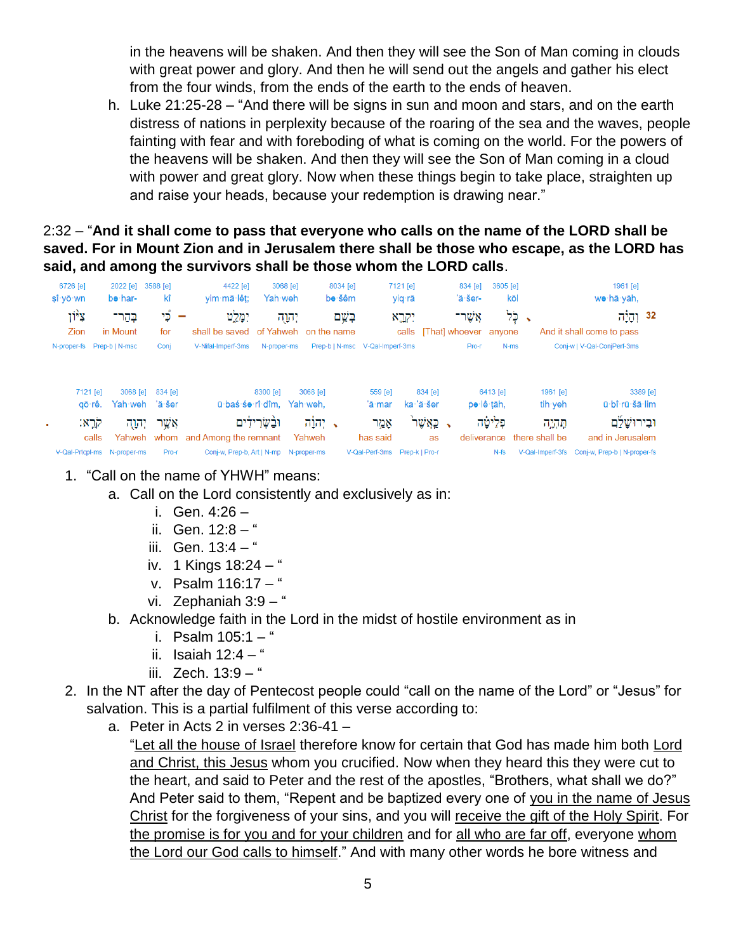in the heavens will be shaken. And then they will see the Son of Man coming in clouds with great power and glory. And then he will send out the angels and gather his elect from the four winds, from the ends of the earth to the ends of heaven.

h. Luke 21:25-28 – "And there will be signs in sun and moon and stars, and on the earth distress of nations in perplexity because of the roaring of the sea and the waves, people fainting with fear and with foreboding of what is coming on the world. For the powers of the heavens will be shaken. And then they will see the Son of Man coming in a cloud with power and great glory. Now when these things begin to take place, straighten up and raise your heads, because your redemption is drawing near."

## 2:32 – "**And it shall come to pass that everyone who calls on the name of the LORD shall be saved. For in Mount Zion and in Jerusalem there shall be those who escape, as the LORD has said, and among the survivors shall be those whom the LORD calls**.

| 6726 [e]                     | 2022 [e]                                                  | 3588 [e]                            | 4422 [e]                                              | 3068 [e]                   | 8034 [e]                                                 |                                        | 7121 [e]                                | 834 [e]                     | 3605 [e]                            |                                                     | 1961 [e]                                                                  |  |  |
|------------------------------|-----------------------------------------------------------|-------------------------------------|-------------------------------------------------------|----------------------------|----------------------------------------------------------|----------------------------------------|-----------------------------------------|-----------------------------|-------------------------------------|-----------------------------------------------------|---------------------------------------------------------------------------|--|--|
| $s\hat{i}$ · $v\bar{o}$ · wn | be har-                                                   | kî                                  | vim·mā·lêt;                                           | Yah weh                    | be∙šêm                                                   |                                        | yiq∙rā                                  | 'ă-šer-                     | kōl                                 |                                                     | we·hā·yāh,                                                                |  |  |
| צ <sup>ק</sup> ון            | בְּהַר־                                                   | آي د                                | יִמְלֵט<br>-                                          | יהוה                       | בַּשֵׁם                                                  |                                        | יקרא:                                   | אַשר־                       |                                     | י כִּל                                              | 32 וְהָיָה                                                                |  |  |
| Zion                         | in Mount                                                  | for                                 | shall be saved                                        |                            | of Yahweh on the name                                    |                                        |                                         | calls [That] whoever anyone |                                     |                                                     | And it shall come to pass                                                 |  |  |
|                              | N-proper-fs Prep-b   N-msc                                | Conj                                | V-Nifal-Imperf-3ms                                    | N-proper-ms                |                                                          | Prep-b   N-msc V-Qal-Imperf-3ms        |                                         | Pro-r                       | N-ms                                |                                                     | Conj-w   V-Qal-ConjPerf-3ms                                               |  |  |
| ٠                            | 7121 [e]<br>3068 [e]<br>qō∙rê.<br>קרֱא:<br>יהוה?<br>calls | 834 [e]<br>Yah weh 'ă šer<br>אָשֶׁר | ū bas so rî dîm.<br>Yahweh whom and Among the remnant | 8300 [e]<br>וּבַשְׂרִידִים | 3068 [e]<br>Yah weh.<br>, יִהוֹ <del>ָ</del> ה<br>Yahweh | 559 [e]<br>'ā·mar<br>אָמַר<br>has said | 834 [e]<br>ka·'ă·šer<br>ֹקַאֲשֶׁר<br>as | deliverance                 | 6413 [e]<br>pe lê tāh,<br>פִלֵיטַׁה | 1961 $[e]$<br>tih yeh<br>תְּהָיֶה<br>there shall be | 3389 [e]<br>ū bî rū šā lim<br>וּבִירוּשַׁ <u>ל</u> ֹם<br>and in Jerusalem |  |  |
| V-Qal-Prtcpl-ms              | N-proper-ms                                               | Pro-r                               | Conj-w, Prep-b, Art   N-mp                            |                            | N-proper-ms                                              | V-Qal-Perf-3ms                         | Prep-k   Pro-r                          |                             | $N-fs$                              | V-Qal-Imperf-3fs                                    | Conj-w, Prep-b   N-proper-fs                                              |  |  |

- 1. "Call on the name of YHWH" means:
	- a. Call on the Lord consistently and exclusively as in:
		- i. Gen. 4:26 –
		- ii. Gen.  $12:8 4$
		- iii. Gen.  $13:4 4$
		- iv. 1 Kings 18:24 "
		- v. Psalm 116:17 "
		- vi. Zephaniah 3:9 "
	- b. Acknowledge faith in the Lord in the midst of hostile environment as in
		- i. Psalm  $105:1 -$ "
		- ii. Isaiah  $12:4 -$
		- iii. Zech.  $13:9 -$ "
- 2. In the NT after the day of Pentecost people could "call on the name of the Lord" or "Jesus" for salvation. This is a partial fulfilment of this verse according to:
	- a. Peter in Acts 2 in verses 2:36-41 –

"Let all the house of Israel therefore know for certain that God has made him both Lord and Christ, this Jesus whom you crucified. Now when they heard this they were cut to the heart, and said to Peter and the rest of the apostles, "Brothers, what shall we do?" And Peter said to them, "Repent and be baptized every one of you in the name of Jesus Christ for the forgiveness of your sins, and you will receive the gift of the Holy Spirit. For the promise is for you and for your children and for all who are far off, everyone whom the Lord our God calls to himself." And with many other words he bore witness and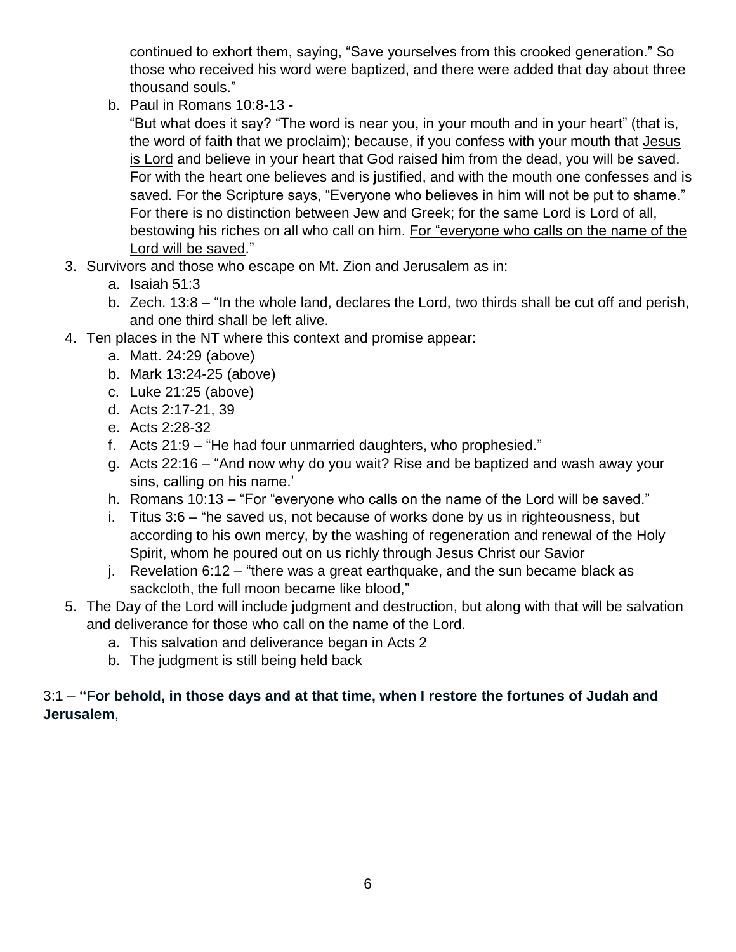continued to exhort them, saying, "Save yourselves from this crooked generation." So those who received his word were baptized, and there were added that day about three thousand souls."

b. Paul in Romans 10:8-13 -

"But what does it say? "The word is near you, in your mouth and in your heart" (that is, the word of faith that we proclaim); because, if you confess with your mouth that Jesus is Lord and believe in your heart that God raised him from the dead, you will be saved. For with the heart one believes and is justified, and with the mouth one confesses and is saved. For the Scripture says, "Everyone who believes in him will not be put to shame." For there is no distinction between Jew and Greek; for the same Lord is Lord of all, bestowing his riches on all who call on him. For "everyone who calls on the name of the Lord will be saved."

- 3. Survivors and those who escape on Mt. Zion and Jerusalem as in:
	- a. Isaiah 51:3
	- b. Zech. 13:8 "In the whole land, declares the Lord, two thirds shall be cut off and perish, and one third shall be left alive.
- 4. Ten places in the NT where this context and promise appear:
	- a. Matt. 24:29 (above)
	- b. Mark 13:24-25 (above)
	- c. Luke 21:25 (above)
	- d. Acts 2:17-21, 39
	- e. Acts 2:28-32
	- f. Acts 21:9 "He had four unmarried daughters, who prophesied."
	- g. Acts 22:16 "And now why do you wait? Rise and be baptized and wash away your sins, calling on his name.'
	- h. Romans 10:13 "For "everyone who calls on the name of the Lord will be saved."
	- i. Titus 3:6 "he saved us, not because of works done by us in righteousness, but according to his own mercy, by the washing of regeneration and renewal of the Holy Spirit, whom he poured out on us richly through Jesus Christ our Savior
	- j. Revelation  $6:12 -$  "there was a great earthquake, and the sun became black as sackcloth, the full moon became like blood,"
- 5. The Day of the Lord will include judgment and destruction, but along with that will be salvation and deliverance for those who call on the name of the Lord.
	- a. This salvation and deliverance began in Acts 2
	- b. The judgment is still being held back

## 3:1 – **"For behold, in those days and at that time, when I restore the fortunes of Judah and Jerusalem**,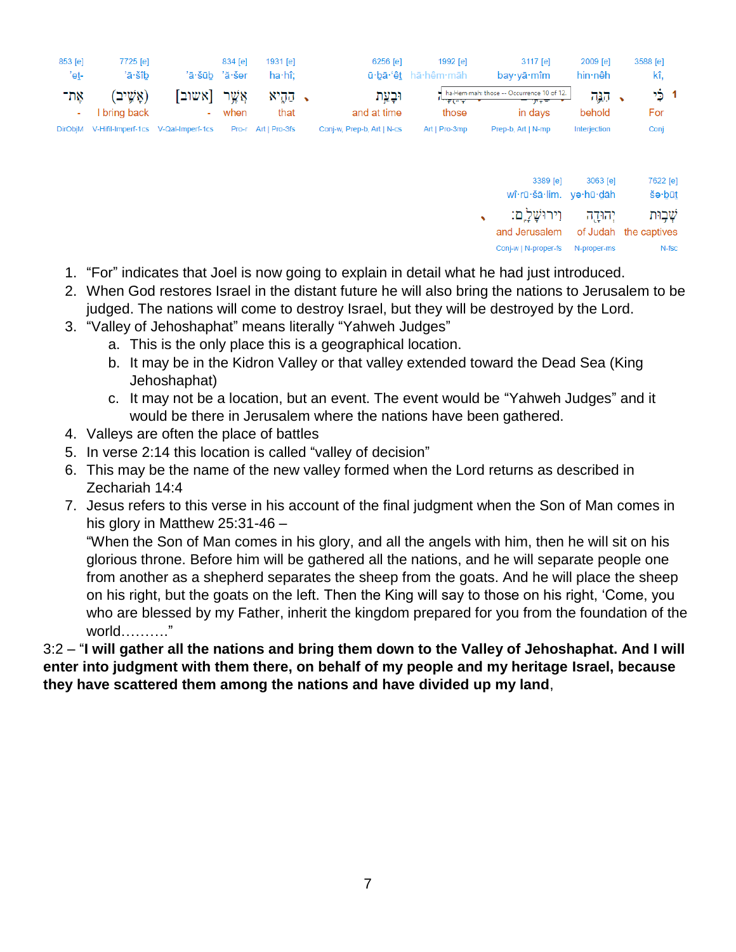| 853 [e]<br>'eṯ- | 7725 [e]<br>'ā·šîb      |                                             | 834 [e]<br>'ā·šūb 'ă·šer | 1931 [e]<br>$ha·h$ î; | 6256 [e]                   | 1992 [e]<br>ū·bā·'êt hā·hêm·māh                                        | 3117 [e]<br>bav·vā·mîm                                        | 2009 [e]<br>hin∙nêh | 3588 [e]<br>kî.          |     |
|-----------------|-------------------------|---------------------------------------------|--------------------------|-----------------------|----------------------------|------------------------------------------------------------------------|---------------------------------------------------------------|---------------------|--------------------------|-----|
| אָת־<br>۰.      | (אָשֵׁיב)<br>bring back | [אשוב<br>٠.                                 | אַשר<br>when             | קקיא<br>that          | וּבעֵת<br>and at time      | $\frac{1}{2}$ , $\frac{1}{2}$ ( $\frac{1}{2}$ , $\frac{1}{2}$<br>those | ha-Hem-mah: those -- Occurrence 10 of 12.<br>アテティア<br>in days | ਨਸ਼੍ਰ<br>behold     | خ۲<br>For                | - 4 |
|                 |                         | DirObjM V-Hifil-Imperf-1cs V-Qal-Imperf-1cs | Pro-r                    | Art I Pro-3fs         | Conj-w, Prep-b, Art   N-cs | Art I Pro-3mp                                                          | Prep-b, Art   N-mp                                            | Interjection        | Conj                     |     |
|                 |                         |                                             |                          |                       |                            |                                                                        | 3389 [e]<br>uûrū šā lim un kū dāb                             | 3063 [e]            | 7622 [e<br>$X \sim 16.7$ |     |

| wî·rū·šā·lim. yo·hū·dāh |             | šə∙būt                |
|-------------------------|-------------|-----------------------|
| וירוּשׁל ֵם:            | יהודה       | שִׁׁבִוּת             |
| and Jerusalem           |             | of Judah the captives |
| Coni-w   N-proper-fs    | N-proper-ms | N-fsc                 |

- 1. "For" indicates that Joel is now going to explain in detail what he had just introduced.
- 2. When God restores Israel in the distant future he will also bring the nations to Jerusalem to be judged. The nations will come to destroy Israel, but they will be destroyed by the Lord.
- 3. "Valley of Jehoshaphat" means literally "Yahweh Judges"
	- a. This is the only place this is a geographical location.
	- b. It may be in the Kidron Valley or that valley extended toward the Dead Sea (King Jehoshaphat)
	- c. It may not be a location, but an event. The event would be "Yahweh Judges" and it would be there in Jerusalem where the nations have been gathered.
- 4. Valleys are often the place of battles
- 5. In verse 2:14 this location is called "valley of decision"
- 6. This may be the name of the new valley formed when the Lord returns as described in Zechariah 14:4
- 7. Jesus refers to this verse in his account of the final judgment when the Son of Man comes in his glory in Matthew 25:31-46 –

"When the Son of Man comes in his glory, and all the angels with him, then he will sit on his glorious throne. Before him will be gathered all the nations, and he will separate people one from another as a shepherd separates the sheep from the goats. And he will place the sheep on his right, but the goats on the left. Then the King will say to those on his right, 'Come, you who are blessed by my Father, inherit the kingdom prepared for you from the foundation of the world………."

3:2 – "**I will gather all the nations and bring them down to the Valley of Jehoshaphat. And I will enter into judgment with them there, on behalf of my people and my heritage Israel, because they have scattered them among the nations and have divided up my land**,